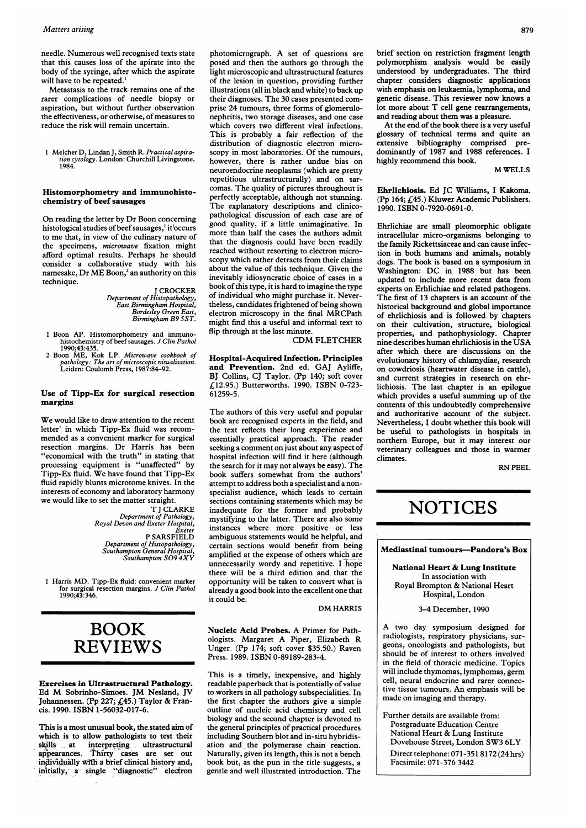#### Matters arising

needle. Numerous well recognised texts state that this causes loss of the apirate into the body of the syringe, after which the aspirate will have to be repeated.'

Metastasis to the track remains one of the rarer complications of needle biopsy or aspiration, but without further observation the effectiveness, or otherwise, of measures to reduce the risk will remain uncertain.

1 Melcher D, Lindan J, Smith R. Practical aspira-<br>tion cytology. London: Churchill Livingstone,<br>1984.

## Histomorphometry and immunohistochemistry of beef sausages

On reading the letter by Dr Boon concerning histological studies of beef sausages,<sup>1</sup> it<sup>1</sup>occurs to me that, in view of the culinary nature of the specimens, microwave fixation might afford optimal results. Perhaps he should consider a collaborative study with his namesake, Dr ME Boon,<sup>2</sup> an authority on this technique.

> <sup>J</sup> CROCKER Department of Histopathology, East Birmingham Hospital, Bordesley Green East, Birmingham B9 SST.

- <sup>1</sup> Boon AP. Histomorphometry and immunohistochemistry of beef sausages. J Clin Pathol 1990;43:435.
- 2 Boon ME, Kok LP. Microwave cookbook of pathology: The art of microscopic visualisation. Leiden: Coulomb Press, 1987:84-92.

### Use of Tipp-Ex for surgical resection margins

We would like to draw attention to the recent letter' in which Tipp-Ex fluid was recommended as a convenient marker for surgical resection margins. Dr Harris has been "economical with the truth" in stating that processing equipment is "unaffected" by Tipp-Ex fluid. We have found that Tipp-Ex fluid rapidly blunts microtome knives. In the interests of economy and laboratory harmony we would like to set the matter straight.

T <sup>J</sup> CLARKE Department of Pathology, Royal Devon and Exeter Hospital, Exeter P SARSFIELD Department of Histopathology, Southampton General Hospital, Southampton 509 4XY

<sup>1</sup> Harris MD. Tipp-Ex fluid: convenient marker for surgical resection margins. J Clin Pathol 1990;43:346.

# BOOK REVIEWS

Exercises in Ultrastructural Pathology. Ed M Sobrinho-Simoes. JM Nesland, JV Johannessen. (Pp 227; £45.) Taylor & Francis. 1990. ISBN 1-56032-017-6.

This is a most unusual book, the.stated aim of which is to allow pathologists to test their skills at interpreting ultrastructural appearances. Thirty cases are set out individually with a brief clinical history and, initially, a- single "diagnostic" electron

photomicrograph. A set of questions are posed and then the authors go through the light microscopic and ultrastructural features of the lesion in question, providing further illustrations (all in black and white) to back up their diagnoses. The 30 cases presented comprise 24 tumours, three forms of glomerulonephritis, two storage diseases, and one case which covers two different viral infections. This is probably a fair reflection of the distribution of diagnostic electron microscopy in most laboratories. Of the tumours, however, there is rather undue bias on neuroendocrine neoplasms (which are pretty repetitious ultrastructurally) and on sarcomas. The quality of pictures throughout is perfectly acceptable, although not stunning. The explanatory descriptions and clinicopathological discussion of each case are of good quality, if a little unimaginative. In more than half the cases the authors admit that the diagnosis could have been readily reached without resorting to electron microscopy which rather detracts from their claims about the value of this technique. Given the inevitably idiosyncratic choice of cases in a book of this type, it is hard to imagine the type of individual who might purchase it. Nevertheless, candidates frightened of being shown electron microscopy in the final MRCPath might find this a useful and informal text to flip through at the last minute.

CDM FLETCHER

Hospital-Acquired Infection. Principles and Prevention. 2nd ed. GAJ Ayliffe, BJ Collins, CJ Taylor. (Pp 140; soft cover £12.95.) Butterworths. 1990. ISBN 0-723- 61259-5.

The authors of this very useful and popular book are recognised experts in the field, and the text reflects their long experience and essentially practical approach. The reader seeking a comment on just about any aspect of hospital infection will find it here (although the search for it may not always be easy). The book suffers somewhat from the authors' attempt to address both a specialist and a nonspecialist audience, which leads to certain sections containing statements which may be inadequate for the former and probably mystifying to the latter. There are also some instances where more positive or less ambiguous statements would be helpful, and certain sections would benefit from being amplified at the expense of others which are unnecessarily wordy and repetitive. <sup>I</sup> hope there will be a third edition and that the opportunity will be taken to convert what is already a good book into the excellent one that it could be.

DM HARRIS

Nucleic Acid Probes. A Primer for Pathologists. Margaret A Piper, Elizabeth R Unger. (Pp 174; soft cover \$35.50.) Raven Press. 1989. ISBN 0-89189-283-4.

This is a timely, inexpensive, and highly readable paperback that is potentially of value to workers in all pathology subspecialities. In the first chapter the authors give a simple outline of nucleic acid chemistry and cell biology and the second chapter is devoted to the general principles of practical procedures including Southern blot and in-situ hybridisation and the polymerase chain reaction. Naturally, given its length, this is not a bench book but, as the pun in the title suggests, a gentle and well illustrated introduction. The

brief section on restriction fragment length polymorphism analysis would be easily understood by undergraduates. The third chapter considers diagnostic applications with emphasis on leukaemia, lymphoma, and genetic disease. This reviewer now knows a lot more about T cell gene rearrangements, and reading about them was a pleasure.

At the end of the book there is a very useful glossary of technical terms and quite an extensive bibliography comprised predominantly of 1987 and 1988 references. <sup>I</sup> highly recommend this book.

M WELLS

Ehrlichiosis. Ed JC Williams, <sup>I</sup> Kakoma. (Pp 164; £45.) Kluwer Academic Publishers. 1990. ISBN 0-7920-0691-0.

Ehrlichiae are small pleomorphic obligate intracellular micro-organisms belonging to the family Rickettsiaceae and can cause infection in both humans and animals, notably dogs. The book is based on a symposium in Washington: DC in <sup>1988</sup> but has been updated to include more recent data from experts on Erhlichiae and related pathogens. The first of 13 chapters is an account of the historical background and global importance of ehrlichiosis and is followed by chapters on their cultivation, structure, biological properties, and pathophysiology. Chapter nine describes human ehrlichiosis in the USA after which there are discussions on the evolutionary history of chlamydiae, research on cowdriosis (heartwater disease in cattle), and current strategies in research on ehrlichiosis. The last chapter is an epilogue which provides a useful summing up of the contents of this undoubtedly comprehensive and authoritative account of the subject. Nevertheless, <sup>I</sup> doubt whether this book will be useful to pathologists in hospitals in northern Europe, but it may interest our veterinary colleagues and those in warmer climates.

RN PEEL

# **NOTICES**

Mediastinal tumours-Pandora's Box

National Heart & Lung Institute In association with Royal Brompton & National Heart Hospital, London

3-4 December, 1990

A two day symposium designed for radiologists, respiratory physicians, surgeons, oncologists and pathologists, but should be of interest to others involved in the field of thoracic medicine. Topics will include thymomas, lymphomas, germ cell, neural endocrine and rarer connective tissue tumours. An emphasis will be made on imaging and therapy.

Further details are available from: Postgraduate Education Centre National Heart & Lung Institute Dovehouse Street, London SW3 6LY Direct telephone: 071-351 8172 (24 hrs) Facsimile: 071-376 3442